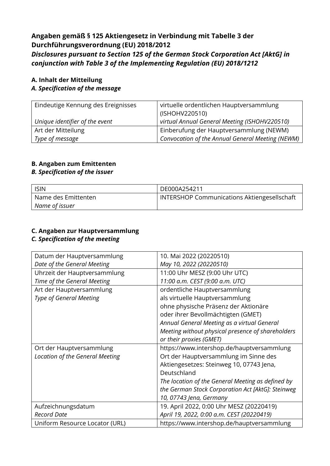## **Angaben gemäß § 125 Aktiengesetz in Verbindung mit Tabelle 3 der Durchführungsverordnung (EU) 2018/2012** *Disclosures pursuant to Section 125 of the German Stock Corporation Act [AktG] in conjunction with Table 3 of the Implementing Regulation (EU) 2018/1212*

#### **A. Inhalt der Mitteilung**

#### *A. Specification of the message*

| Eindeutige Kennung des Ereignisses | virtuelle ordentlichen Hauptversammlung          |
|------------------------------------|--------------------------------------------------|
|                                    | (ISHOHV220510)                                   |
| Unique identifier of the event     | virtual Annual General Meeting (ISHOHV220510)    |
| Art der Mitteilung                 | Einberufung der Hauptversammlung (NEWM)          |
| Type of message                    | Convocation of the Annual General Meeting (NEWM) |

#### **B. Angaben zum Emittenten**

#### *B. Specification of the issuer*

| <b>ISIN</b>         | DE000A254211                                       |
|---------------------|----------------------------------------------------|
| Name des Emittenten | <b>INTERSHOP Communications Aktiengesellschaft</b> |
| Name of issuer      |                                                    |

# **C. Angaben zur Hauptversammlung**

# *C. Specification of the meeting*

| Datum der Hauptversammlung      | 10. Mai 2022 (20220510)                           |
|---------------------------------|---------------------------------------------------|
| Date of the General Meeting     | May 10, 2022 (20220510)                           |
| Uhrzeit der Hauptversammlung    | 11:00 Uhr MESZ (9:00 Uhr UTC)                     |
| Time of the General Meeting     | 11:00 a.m. CEST (9:00 a.m. UTC)                   |
| Art der Hauptversammlung        | ordentliche Hauptversammlung                      |
| <b>Type of General Meeting</b>  | als virtuelle Hauptversammlung                    |
|                                 | ohne physische Präsenz der Aktionäre              |
|                                 | oder ihrer Bevollmächtigten (GMET)                |
|                                 | Annual General Meeting as a virtual General       |
|                                 | Meeting without physical presence of shareholders |
|                                 | or their proxies (GMET)                           |
| Ort der Hauptversammlung        | https://www.intershop.de/hauptversammlung         |
| Location of the General Meeting | Ort der Hauptversammlung im Sinne des             |
|                                 | Aktiengesetzes: Steinweg 10, 07743 Jena,          |
|                                 | Deutschland                                       |
|                                 | The location of the General Meeting as defined by |
|                                 | the German Stock Corporation Act [AktG]: Steinweg |
|                                 | 10, 07743 Jena, Germany                           |
| Aufzeichnungsdatum              | 19. April 2022, 0:00 Uhr MESZ (20220419)          |
| <b>Record Date</b>              | April 19, 2022, 0:00 a.m. CEST (20220419)         |
| Uniform Resource Locator (URL)  | https://www.intershop.de/hauptversammlung         |